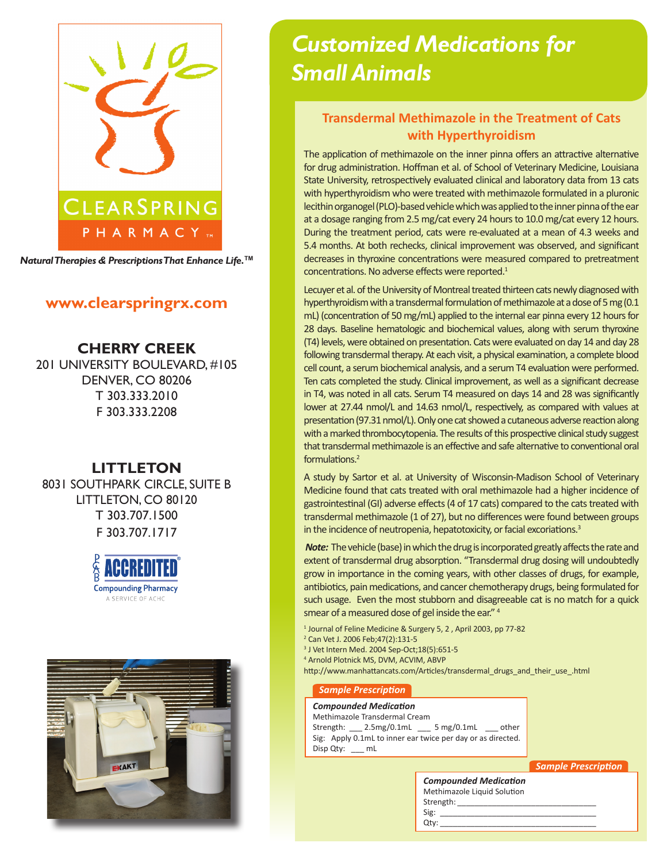

*Natural Therapies & Prescriptions That Enhance Life.***TM**

## **www.clearspringrx.com**

**CHERRY CREEK** 201 UNIVERSITY BOULEVARD, #105 DENVER, CO 80206 T 303.333.2010 F 303.333.2208

# **LITTLETON**

8031 SOUTHPARK CIRCLE, SUITE B LITTLETON, CO 80120 T 303.707.1500 F 303.707.1717





# *Customized Medications for Small Animals*

## **Transdermal Methimazole in the Treatment of Cats with Hyperthyroidism**

The application of methimazole on the inner pinna offers an attractive alternative for drug administration. Hoffman et al. of School of Veterinary Medicine, Louisiana State University, retrospectively evaluated clinical and laboratory data from 13 cats with hyperthyroidism who were treated with methimazole formulated in a pluronic lecithin organogel (PLO)-based vehicle which was applied to the inner pinna of the ear at a dosage ranging from 2.5 mg/cat every 24 hours to 10.0 mg/cat every 12 hours. During the treatment period, cats were re-evaluated at a mean of 4.3 weeks and 5.4 months. At both rechecks, clinical improvement was observed, and significant decreases in thyroxine concentrations were measured compared to pretreatment concentrations. No adverse effects were reported.<sup>1</sup>

Lecuyer et al. of the University of Montreal treated thirteen cats newly diagnosed with hyperthyroidism with a transdermal formulation of methimazole at a dose of 5 mg (0.1 mL) (concentration of 50 mg/mL) applied to the internal ear pinna every 12 hours for 28 days. Baseline hematologic and biochemical values, along with serum thyroxine (T4) levels, were obtained on presentation. Cats were evaluated on day 14 and day 28 following transdermal therapy. At each visit, a physical examination, a complete blood cell count, a serum biochemical analysis, and a serum T4 evaluation were performed. Ten cats completed the study. Clinical improvement, as well as a significant decrease in T4, was noted in all cats. Serum T4 measured on days 14 and 28 was significantly lower at 27.44 nmol/L and 14.63 nmol/L, respectively, as compared with values at presentation (97.31 nmol/L). Only one cat showed a cutaneous adverse reaction along with a marked thrombocytopenia. The results of this prospective clinical study suggest that transdermal methimazole is an effective and safe alternative to conventional oral formulations.2

A study by Sartor et al. at University of Wisconsin-Madison School of Veterinary Medicine found that cats treated with oral methimazole had a higher incidence of gastrointestinal (GI) adverse effects (4 of 17 cats) compared to the cats treated with transdermal methimazole (1 of 27), but no differences were found between groups in the incidence of neutropenia, hepatotoxicity, or facial excoriations.<sup>3</sup>

*Note:* The vehicle (base) in which the drug is incorporated greatly affects the rate and extent of transdermal drug absorption. "Transdermal drug dosing will undoubtedly grow in importance in the coming years, with other classes of drugs, for example, antibiotics, pain medications, and cancer chemotherapy drugs, being formulated for such usage. Even the most stubborn and disagreeable cat is no match for a quick smear of a measured dose of gel inside the ear." 4

<sup>1</sup> Journal of Feline Medicine & Surgery 5, 2, April 2003, pp 77-82

- 2 Can Vet J. 2006 Feb;47(2):131-5
- 3 J Vet Intern Med. 2004 Sep-Oct;18(5):651-5
- 4 Arnold Plotnick MS, DVM, ACVIM, ABVP

http://www.manhattancats.com/Articles/transdermal\_drugs\_and\_their\_use\_.html

#### *Sample Prescription*

#### *Compounded Medication*

Methimazole Transdermal Cream Strength: \_\_\_ 2.5mg/0.1mL \_\_\_ 5 mg/0.1mL \_\_\_ other Sig: Apply 0.1mL to inner ear twice per day or as directed. Disp Qty: \_\_\_ mL

*Sample Prescription*

| <b>Compounded Medication</b><br>Methimazole Liquid Solution |  |
|-------------------------------------------------------------|--|
|                                                             |  |
| Strength:                                                   |  |
| Sig:                                                        |  |
| Otv:                                                        |  |